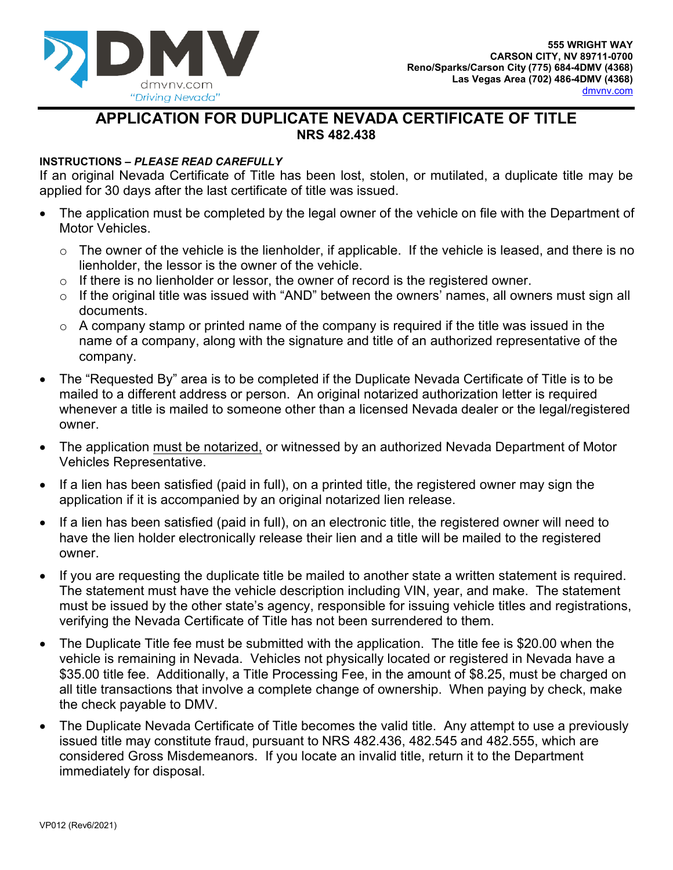

## **APPLICATION FOR DUPLICATE NEVADA CERTIFICATE OF TITLE NRS 482.438**

## **INSTRUCTIONS** *– PLEASE READ CAREFULLY*

If an original Nevada Certificate of Title has been lost, stolen, or mutilated, a duplicate title may be applied for 30 days after the last certificate of title was issued.

- The application must be completed by the legal owner of the vehicle on file with the Department of Motor Vehicles.
	- $\circ$  The owner of the vehicle is the lienholder, if applicable. If the vehicle is leased, and there is no lienholder, the lessor is the owner of the vehicle.
	- $\circ$  If there is no lienholder or lessor, the owner of record is the registered owner.
	- o If the original title was issued with "AND" between the owners' names, all owners must sign all documents.
	- $\circ$  A company stamp or printed name of the company is required if the title was issued in the name of a company, along with the signature and title of an authorized representative of the company.
- The "Requested By" area is to be completed if the Duplicate Nevada Certificate of Title is to be mailed to a different address or person. An original notarized authorization letter is required whenever a title is mailed to someone other than a licensed Nevada dealer or the legal/registered owner.
- The application must be notarized, or witnessed by an authorized Nevada Department of Motor Vehicles Representative.
- If a lien has been satisfied (paid in full), on a printed title, the registered owner may sign the application if it is accompanied by an original notarized lien release.
- If a lien has been satisfied (paid in full), on an electronic title, the registered owner will need to have the lien holder electronically release their lien and a title will be mailed to the registered owner.
- If you are requesting the duplicate title be mailed to another state a written statement is required. The statement must have the vehicle description including VIN, year, and make. The statement must be issued by the other state's agency, responsible for issuing vehicle titles and registrations, verifying the Nevada Certificate of Title has not been surrendered to them.
- The Duplicate Title fee must be submitted with the application. The title fee is \$20.00 when the vehicle is remaining in Nevada. Vehicles not physically located or registered in Nevada have a \$35.00 title fee. Additionally, a Title Processing Fee, in the amount of \$8.25, must be charged on all title transactions that involve a complete change of ownership. When paying by check, make the check payable to DMV.
- The Duplicate Nevada Certificate of Title becomes the valid title. Any attempt to use a previously issued title may constitute fraud, pursuant to NRS 482.436, 482.545 and 482.555, which are considered Gross Misdemeanors. If you locate an invalid title, return it to the Department immediately for disposal.